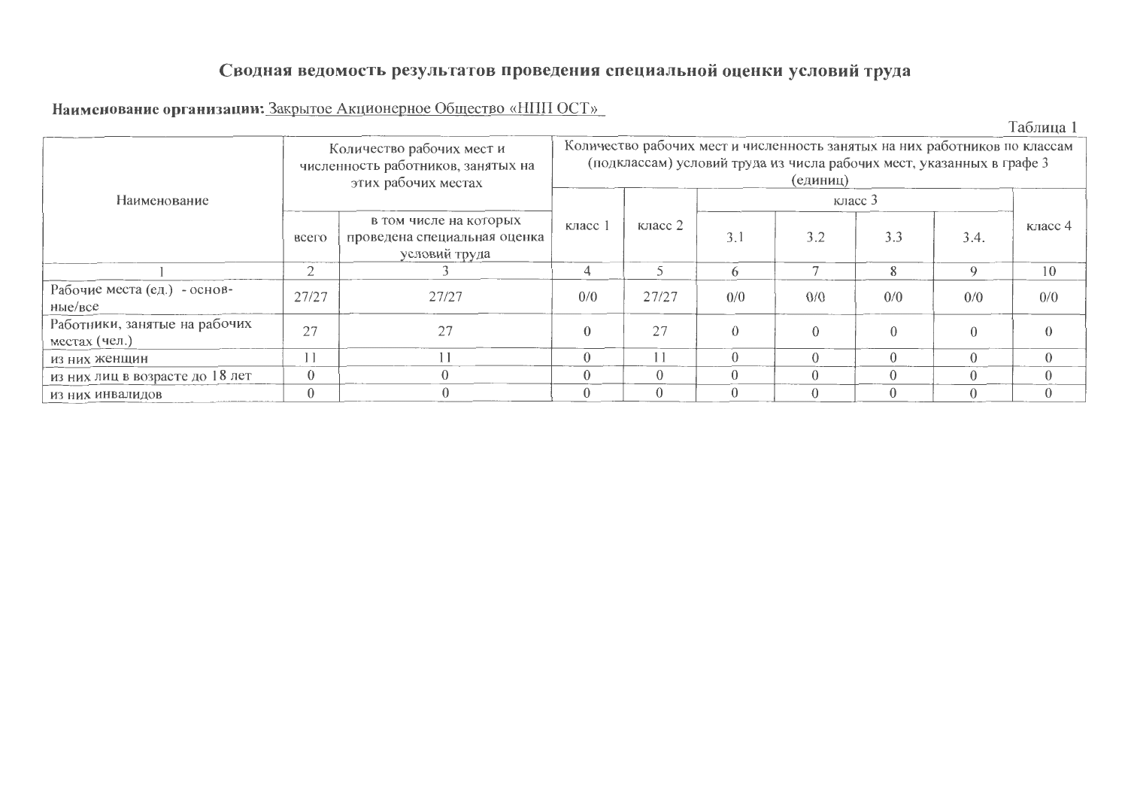## Сводная ведомость результатов проведения специальной оценки условий труда

## Наименование организации: Закрытое Акционерное Общество «НПП ОСТ»

Таблица 1

|                                                |          | Количество рабочих мест и<br>численность работников, занятых на<br>этих рабочих местах | Количество рабочих мест и численность занятых на них работников по классам<br>(подклассам) условий труда из числа рабочих мест, указанных в графе 3<br>(единиц) |          |          |          |     |             |           |  |  |  |
|------------------------------------------------|----------|----------------------------------------------------------------------------------------|-----------------------------------------------------------------------------------------------------------------------------------------------------------------|----------|----------|----------|-----|-------------|-----------|--|--|--|
| Наименование                                   |          |                                                                                        |                                                                                                                                                                 |          |          |          |     |             |           |  |  |  |
|                                                | всего    | в том числе на которых<br>проведена специальная оценка<br>условий труда                | класс                                                                                                                                                           | класс 2  | 3.1      | 3.2      | 3.3 | 3.4.        | класс $4$ |  |  |  |
|                                                | ⌒        |                                                                                        |                                                                                                                                                                 |          | 6        |          |     | $\mathbf Q$ | 10        |  |  |  |
| Рабочие места (ед.) - основ-<br>Hb1e/Bce       | 27/27    | 27/27                                                                                  | 0/0                                                                                                                                                             | 27/27    | 0/0      | 0/0      | 0/0 | 0/0         | 0/0       |  |  |  |
| Работники, занятые на рабочих<br>местах (чел.) | 27       | つつ                                                                                     |                                                                                                                                                                 | 27       | $\Omega$ | $\Omega$ |     |             |           |  |  |  |
| из них женщин                                  |          |                                                                                        |                                                                                                                                                                 |          |          |          |     |             | $\Omega$  |  |  |  |
| из них лиц в возрасте до 18 лет                | $\Omega$ |                                                                                        |                                                                                                                                                                 | $\Omega$ | $\Omega$ |          |     |             | $\Omega$  |  |  |  |
| из них инвалидов                               | 0        |                                                                                        |                                                                                                                                                                 | $\Omega$ |          |          |     |             | $\Omega$  |  |  |  |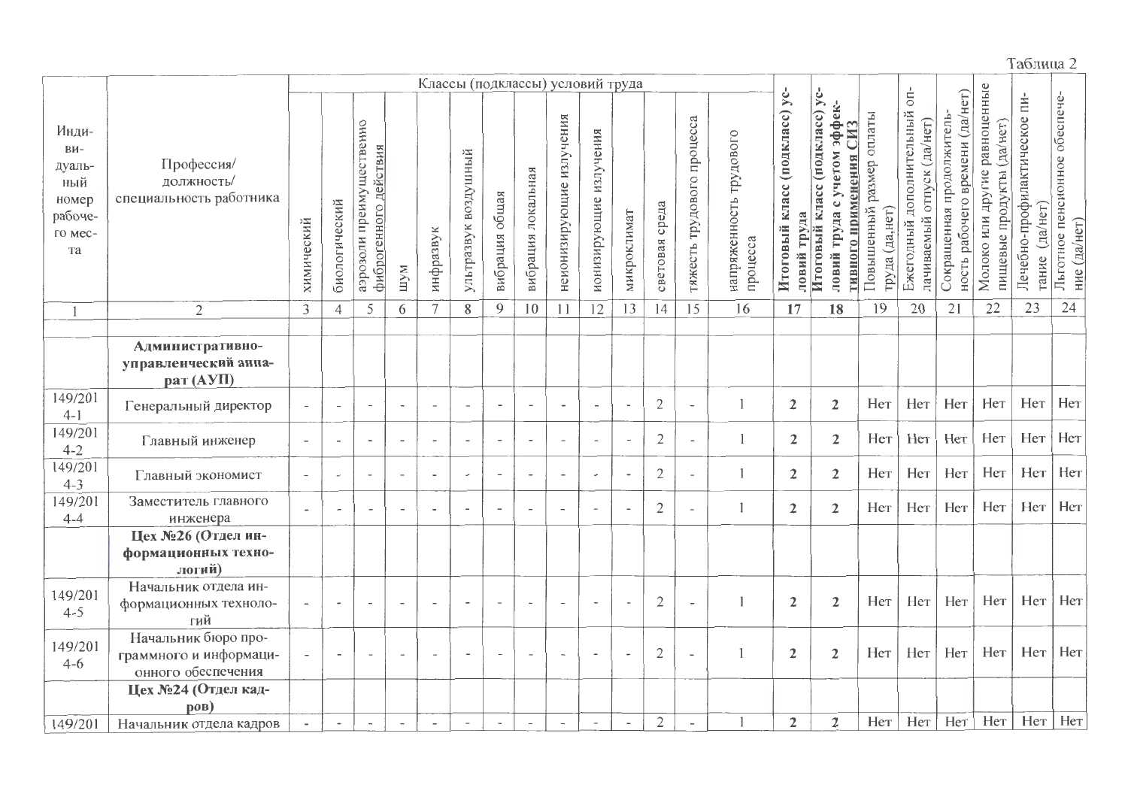Классы (подклассы) условий труда Молоко или другие равноценные Итоговый класс (подкласс) ус- $\overline{C}$ ность рабочего времени (да/нет) Итоговый класс (подкласс) усобеспече-Лечебно-профилактическое пи--мэффе мотэгч э вдудт йнаол дополнительный Повышенный размер оплаты Сокращенная продолжительнеионизирующие излучения тяжесть трудового процесса лачиваемый отпуск (да/нет) пищевые продукты (да/нет) аэрозоли преимущественно гивного применения СИЗ Инлиионизирующие излучения напряженность трудового ВИфиброгенного действия ультразвук воздушный Льготное пенсионное Профессия/ дуальвибрация локальная должность/ ный специальность работника вибрация общая номер биологический среда тание (да/нет) груда (да,нет) микроклимат рабочеловий труда Ежегодный ние (да/нет) химический инфразвук го меспроцесса световая та шум 24  $\overline{15}$ 18 19 20  $21$ 22 23 3  $\overline{4}$ 5  $\tau$  $\mathbf{8}$  $\mathbf Q$  $10$  $11$  $12$  $13$ 14  $16$ 17  $\overline{2}$ 6  $\mathbf{1}$ Административноуправленческий аппа $par(AYII)$ 149/201  $\overline{2}$ Нет Нет Нет Her  $\overline{1}$  $\mathbf{2}$  $\overline{2}$ Her Hет Генеральный директор  $\overline{a}$  $\overline{\phantom{a}}$  $\overline{a}$  $\overline{a}$  $\overline{\phantom{a}}$  $\overline{\phantom{a}}$  $\overline{\phantom{a}}$ L.  $\overline{\phantom{a}}$  $\overline{\phantom{a}}$  $\overline{\phantom{a}}$  $4-1$  $149/201$  $\mathbf{2}$ Нет Нет Her Her  $Her$ Her Главный инженер  $\overline{2}$  $\mathbf{1}$  $\mathbf{2}$  $\sim$  $\overline{a}$  $\overline{a}$  $\overline{a}$  $\overline{a}$ L,  $\sim$  $\sim$  $\overline{\phantom{a}}$  $\overline{\phantom{a}}$  $\overline{\phantom{a}}$  $4 - 2$  $149/201$ Her  $\overline{2}$  $\overline{1}$  $\mathbf{2}$  $\mathbf{2}$ Her Her Her Hет Her Главный экономист  $\sim$  $\sim$  $\overline{\phantom{a}}$  $\overline{a}$  $\overline{a}$  $\overline{\phantom{a}}$  $\overline{\phantom{a}}$  $\overline{\phantom{a}}$ i.  $\sim$  $\sim$ ÷.  $4 - 3$  $149/201$ Заместитель главного Her Her Her Her  $\overline{2}$  $\overline{1}$  $\mathfrak{D}$  $\mathfrak{2}$ Her Her  $\overline{a}$  $\overline{a}$  $\overline{a}$  $\overline{a}$  $\overline{a}$  $\overline{a}$  $\overline{a}$  $\overline{a}$  $\overline{\phantom{a}}$  $\overline{\phantom{a}}$ J.  $4 - 4$ инженера Цех №26 (Отдел информационных технологий) Начальник отдела ин-149/201 Her Her Her Her  $\overline{2}$  $\overline{2}$  $\overline{2}$ Her  $\overline{1}$ Her формационных техноло- $\overline{a}$  $\bar{a}$  $\sim$  $\sim$  $\overline{a}$ J.  $\overline{\phantom{a}}$  $\overline{\phantom{a}}$  $\overline{\phantom{a}}$  $\overline{\phantom{a}}$  $\overline{a}$  $\sim$  $4 - 5$ гий Начальник бюро про-149/201 Her Нет  $\overline{2}$  $\mathbf{2}$  $\overline{2}$ Her Her Her граммного и информаци- $\overline{1}$ Her  $\sim$  $\sim$  $\overline{a}$  $\overline{a}$  $\overline{a}$  $\overline{a}$  $\overline{a}$  $\overline{a}$ ÷. ÷. J.  $\sim$  $4-6$ онного обеспечения Цех №24 (Отдел кад- $\bf{poB}$ Нет Нет Нет  $\overline{2}$  $\overline{2}$  $\overline{2}$ Нет  $Her<sup>1</sup>$ Her  $\mathbf{1}$ 149/201 Начальник отдела кадров  $\overline{\phantom{a}}$  $\sim$  $\overline{\phantom{a}}$  $\sim$  $\overline{\phantom{a}}$  $\sim$  $\overline{\phantom{a}}$ J.  $\overline{\phantom{a}}$ 

Таблица 2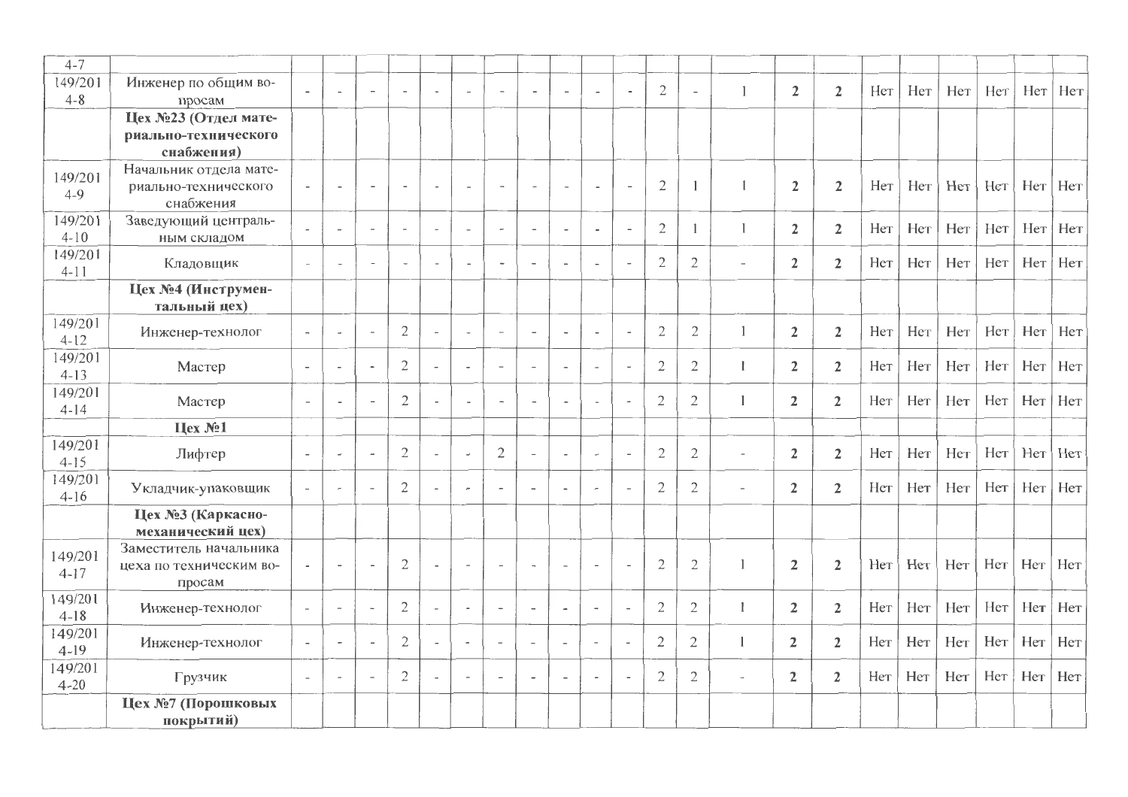| $4 - 7$             |                                                             |                          |                          |                          |                          |                          |                          |                          |                              |                          |                          |                          |                |                |                          |                |                |     |     |     |     |     |     |
|---------------------|-------------------------------------------------------------|--------------------------|--------------------------|--------------------------|--------------------------|--------------------------|--------------------------|--------------------------|------------------------------|--------------------------|--------------------------|--------------------------|----------------|----------------|--------------------------|----------------|----------------|-----|-----|-----|-----|-----|-----|
| 149/201<br>$4 - 8$  | Инженер по общим во-<br>просам                              |                          | $\overline{a}$           | $\overline{\phantom{a}}$ | $\sim$                   |                          |                          | $\overline{\phantom{a}}$ | $\blacksquare$               | $\overline{\phantom{a}}$ | $\overline{\phantom{a}}$ | $\overline{\phantom{a}}$ | $\overline{2}$ | $\overline{a}$ |                          | $\overline{2}$ | $2^{\circ}$    | Нет | Нет | Нет | Her | Нет | Her |
|                     | Цех №23 (Отдел мате-<br>риально-технического<br>снабжения)  |                          |                          |                          |                          |                          |                          |                          |                              |                          |                          |                          |                |                |                          |                |                |     |     |     |     |     |     |
| 149/201<br>$4-9$    | Начальник отдела мате-<br>риально-технического<br>снабжения | $\overline{\phantom{a}}$ | $\overline{\phantom{a}}$ | $\overline{\phantom{a}}$ | $\overline{\phantom{a}}$ |                          | $\sim$                   | $\overline{\phantom{a}}$ | $\blacksquare$               | $\overline{\phantom{a}}$ | $\overline{\phantom{a}}$ | $\overline{\phantom{a}}$ | $\mathfrak{2}$ |                | $\mathbf{1}$             | $\overline{2}$ | $\overline{2}$ | Нет | Her | Her | Her | Her | Her |
| 149/201<br>$4 - 10$ | Заведующий централь-<br>ным складом                         |                          | $\overline{\phantom{0}}$ | $\overline{\phantom{a}}$ | $\overline{\phantom{a}}$ |                          | $\overline{\phantom{0}}$ | $\overline{\phantom{a}}$ | $\overline{\phantom{a}}$     | $\overline{\phantom{a}}$ | $\overline{\phantom{a}}$ | $\overline{\phantom{a}}$ | $\overline{2}$ | -1             | 1                        | $\overline{2}$ | $\overline{2}$ | Her | Her | Her | Нет | Her | Her |
| 149/201<br>$4-11$   | Кладовщик                                                   | $\sim$                   |                          | $\overline{\phantom{a}}$ | $\overline{\phantom{a}}$ | $\sim$                   | $\overline{a}$           | $\blacksquare$           | $\overline{a}$               | $\overline{\phantom{a}}$ | $\overline{\phantom{0}}$ | $\overline{\phantom{a}}$ | $\mathfrak{2}$ | $\overline{2}$ |                          | $\mathbf{2}$   | $\mathbf{2}$   | Нет | Her | Her | Her | Her | Her |
|                     | Цех №4 (Инструмен-<br>тальный цех)                          |                          |                          |                          |                          |                          |                          |                          |                              |                          |                          |                          |                |                |                          |                |                |     |     |     |     |     |     |
| 149/201<br>$4 - 12$ | Инженер-технолог                                            | $\overline{\phantom{a}}$ | L.                       | $\sim$                   | $\mathbf{2}$             | $\overline{\phantom{a}}$ | $\sim$                   | $\overline{\phantom{a}}$ | $\overline{\phantom{a}}$     | $\overline{\phantom{a}}$ | $\overline{a}$           | $\overline{\phantom{a}}$ | $\mathbf{2}$   | $\overline{2}$ | $\mathbf{1}$             | $\overline{2}$ | $\overline{2}$ | Нет | Her | Her | Her | Her | Нет |
| 149/201<br>$4 - 13$ | Мастер                                                      | $\overline{\phantom{a}}$ |                          | $\overline{\phantom{a}}$ | $\mathbf{2}$             | $\overline{\phantom{a}}$ | $\overline{\phantom{a}}$ | $\overline{\phantom{a}}$ | $\overline{\phantom{a}}$     | $\overline{\phantom{a}}$ | $\overline{\phantom{a}}$ | $\overline{\phantom{a}}$ | $\overline{2}$ | $\mathbf{2}$   | $\mathbf{l}$             | $\overline{2}$ | $\overline{2}$ | Нет | Her | Her | Her | Нет | Her |
| 149/201<br>$4 - 14$ | Мастер                                                      | $\overline{\phantom{a}}$ | $\overline{a}$           | $\overline{\phantom{a}}$ | $\mathbf{2}$             |                          | $\overline{\phantom{a}}$ | $\overline{\phantom{a}}$ | $\overline{\phantom{a}}$     | $\tilde{\phantom{a}}$    | $\overline{a}$           | $\sim$                   | $\overline{2}$ | 2              | 1                        | $\overline{2}$ | $\mathbf{2}$   | Her | Her | Her | Нет | Her | Нет |
|                     | Цех №1                                                      |                          |                          |                          |                          |                          |                          |                          |                              |                          |                          |                          |                |                |                          |                |                |     |     |     |     |     |     |
| 149/201<br>$4-15$   | Лифтер                                                      | $\overline{\phantom{a}}$ | $\overline{a}$           | $\overline{\phantom{a}}$ | $\mathbf{2}$             |                          | $\blacksquare$           | $\mathfrak{2}$           | $\overline{\phantom{a}}$     | $\overline{\phantom{a}}$ | $\overline{\phantom{a}}$ | $\overline{\phantom{a}}$ | $\overline{2}$ | $\overline{2}$ | $\sim$                   | $\overline{2}$ | $\overline{2}$ | Нет | Her | Her | Her | Her | Нет |
| 149/201<br>$4-16$   | Укладчик-упаковщик                                          | $\overline{\phantom{a}}$ | $\overline{\phantom{a}}$ | $\sim$                   | $\overline{2}$           |                          |                          | $\overline{\phantom{a}}$ | $\overline{\phantom{a}}$     | $\overline{\phantom{a}}$ | $\overline{a}$           | $\overline{\phantom{a}}$ | $\mathfrak{2}$ | $\overline{2}$ | $\overline{\phantom{a}}$ | $\overline{2}$ | $\overline{2}$ | Her | Her | Her | Her | Her | Нет |
|                     | Цех №3 (Каркасно-<br>механический цех)                      |                          |                          |                          |                          |                          |                          |                          |                              |                          |                          |                          |                |                |                          |                |                |     |     |     |     |     |     |
| 149/201<br>$4 - 17$ | Заместитель начальника<br>цеха по техническим во-<br>просам |                          | $\overline{\phantom{a}}$ |                          | $\mathfrak{2}$           |                          | $\overline{a}$           | $\overline{\phantom{a}}$ | $\overline{\phantom{a}}$     | $\overline{\phantom{a}}$ | $\overline{\phantom{a}}$ | $\overline{\phantom{a}}$ | $\mathfrak{2}$ | $\overline{2}$ | $\mathbf{1}$             | $\overline{2}$ | $\mathbf{2}$   | Her | Her | Her | Her | Her | Нет |
| 149/201<br>$4-18$   | Инженер-технолог                                            | $\overline{\phantom{a}}$ | $\overline{\phantom{a}}$ | $\sim$                   | $\overline{2}$           |                          | $\overline{\phantom{a}}$ | $\blacksquare$           | $\overline{\phantom{a}}$     | $\overline{\phantom{a}}$ | $\overline{a}$           | $\overline{\phantom{a}}$ | $\overline{2}$ | $\overline{2}$ | $\mathbf{I}$             | $\overline{2}$ | $\overline{2}$ | Her | Нет | Her | Нет | Her | Her |
| 149/201<br>$4-19$   | Инженер-технолог                                            | $\overline{\phantom{a}}$ | $\overline{\phantom{a}}$ | $\overline{\phantom{a}}$ | $\mathfrak{2}$           |                          | $\overline{\phantom{a}}$ | $\tilde{\phantom{a}}$    | $\overline{\phantom{a}}$     | $\blacksquare$           | $\overline{a}$           | $\sim$                   | $\mathfrak{2}$ | $\overline{2}$ | $\mathbf{1}$             | $\overline{2}$ | $\overline{2}$ | Her | Нет | Her | Нет | Her | Нет |
| 149/201<br>$4 - 20$ | Грузчик                                                     | $\overline{\phantom{a}}$ | $\overline{a}$           | $\overline{\phantom{a}}$ | $\overline{2}$           | $\overline{\phantom{a}}$ | $\overline{\phantom{a}}$ | $\overline{\phantom{a}}$ | $\qquad \qquad \blacksquare$ | $\overline{\phantom{a}}$ | $\overline{\phantom{0}}$ | $\overline{\phantom{a}}$ | $\overline{2}$ | $\overline{2}$ | $\overline{\phantom{a}}$ | $\overline{2}$ | $\overline{2}$ | Hет | Her | Her | Нет | Her | Her |
|                     | Цех №7 (Порошковых<br>покрытий)                             |                          |                          |                          |                          |                          |                          |                          |                              |                          |                          |                          |                |                |                          |                |                |     |     |     |     |     |     |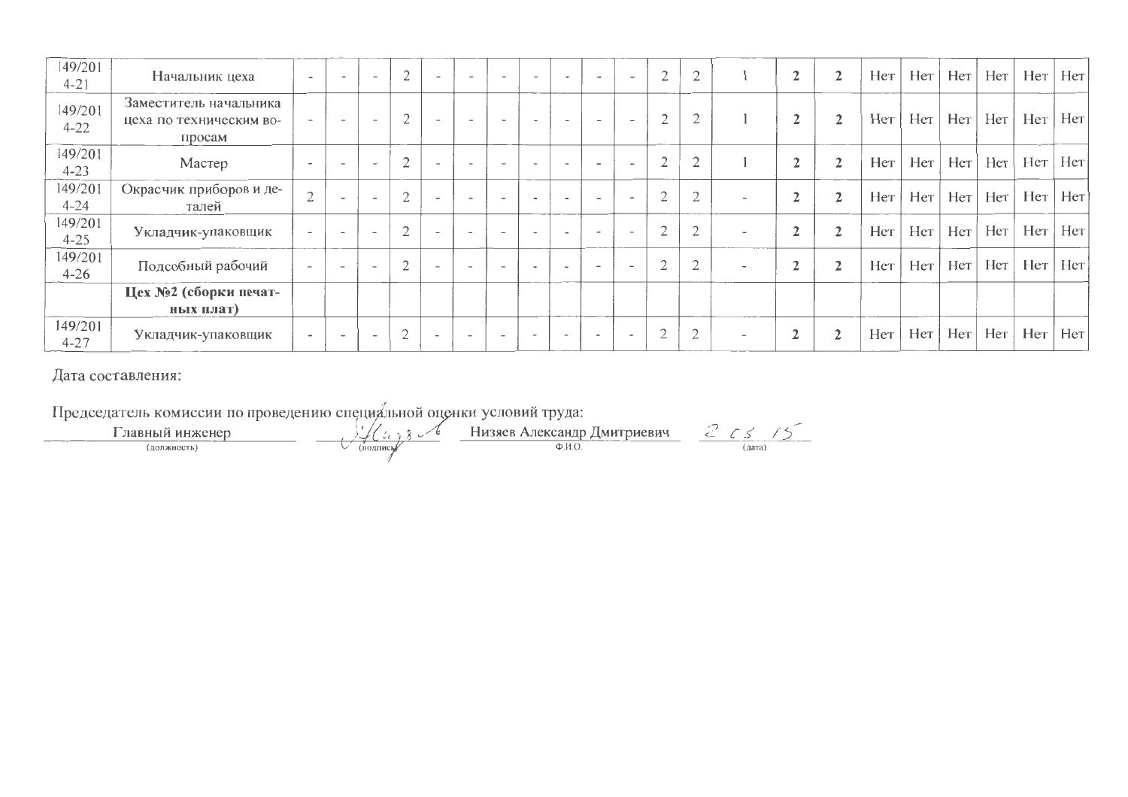| 149/201<br>$4 - 21$ | Начальник цеха                                              | ٠                        | $\overline{\phantom{a}}$ | $\overline{\phantom{m}}$ | $\sim$    | $\overline{\phantom{0}}$ | $\overline{\phantom{0}}$ |                          |                          |                          | $\overline{\phantom{0}}$ | $\overline{2}$ | $\bigcap$     |                          | ↑              | $\overline{2}$ | Her | Her | Нет | Нет | Hет | Her       |
|---------------------|-------------------------------------------------------------|--------------------------|--------------------------|--------------------------|-----------|--------------------------|--------------------------|--------------------------|--------------------------|--------------------------|--------------------------|----------------|---------------|--------------------------|----------------|----------------|-----|-----|-----|-----|-----|-----------|
| 149/201<br>$4 - 22$ | Заместитель начальника<br>цеха по техническим во-<br>просам | $-$                      | $\overline{\phantom{a}}$ | $\overline{\phantom{0}}$ | $\sim$    | $\overline{\phantom{a}}$ | $\rightarrow$            | $\overline{\phantom{a}}$ | $\overline{\phantom{a}}$ | $-$                      | $\overline{\phantom{0}}$ | $\overline{2}$ | $\bigcap$     |                          |                |                | Her | Нет | Her | Нет | Her | Her       |
| 149/201<br>$4 - 23$ | Мастер                                                      |                          | $\qquad \qquad$          |                          | $\bigcap$ | $\overline{\phantom{a}}$ | $\overline{\phantom{a}}$ |                          |                          |                          |                          | $\overline{2}$ | $\bigcirc$    |                          | ↷              | $\mathbf{2}$   | Her | Her | Нет | Her | Her | Her       |
| 149/201<br>$4 - 24$ | Окрасчик приборов и де-<br>талей                            | $\sim$                   | $\overline{\phantom{0}}$ | $\overline{\phantom{a}}$ | $\sim$    |                          | $\overline{\phantom{a}}$ | $\overline{\phantom{0}}$ | $\overline{\phantom{a}}$ | $\overline{\phantom{a}}$ |                          | $\overline{2}$ | $\bigcap$     |                          | $\rightarrow$  | 2              | Her | Нет | Her | Нет | Нет | Her       |
| 149/201<br>$4 - 25$ | Укладчик-упаковщик                                          |                          | $\overline{\phantom{0}}$ | $\overline{\phantom{a}}$ | $\bigcap$ | $\overline{\phantom{a}}$ |                          | $\overline{\phantom{a}}$ | $\overline{\phantom{a}}$ | $\overline{\phantom{0}}$ |                          | $\overline{2}$ | $\mathcal{D}$ | $\overline{\phantom{0}}$ | $\mathbf{2}$   | $\mathbf{2}$   | Her | Her | Her | Her | Her | Her       |
| 149/201<br>$4 - 26$ | Подсобный рабочий                                           | $\overline{\phantom{a}}$ | $\qquad \qquad$          | $\sim$                   | $\sim$    | $\sim$                   | $\overline{\phantom{a}}$ | $\sim$                   | $\mathbf{u}$             |                          |                          | $\mathfrak{2}$ | $\bigcap$     | $\sim$                   | $\mathcal{L}$  | $\mathbf{2}$   | Her | Her | Her | Нет |     | Her   Her |
|                     | Цех №2 (сборки печат-<br>ных плат)                          |                          |                          |                          |           |                          |                          |                          |                          |                          |                          |                |               |                          |                |                |     |     |     |     |     |           |
| 149/201<br>$4 - 27$ | Укладчик-упаковщик                                          |                          | $\overline{\phantom{a}}$ | $\overline{\phantom{a}}$ | $\sim$    |                          | $\overline{\phantom{0}}$ | $\overline{\phantom{a}}$ | $\overline{\phantom{a}}$ |                          |                          | $\overline{2}$ | $\bigcap$     | $\overline{\phantom{a}}$ | $\overline{2}$ | $\mathbf{2}$   | Her | Her | Her | Her | Her | Her       |

Дата составления:

 $2$   $6$   $15$ Низяев Александр Дмитриевич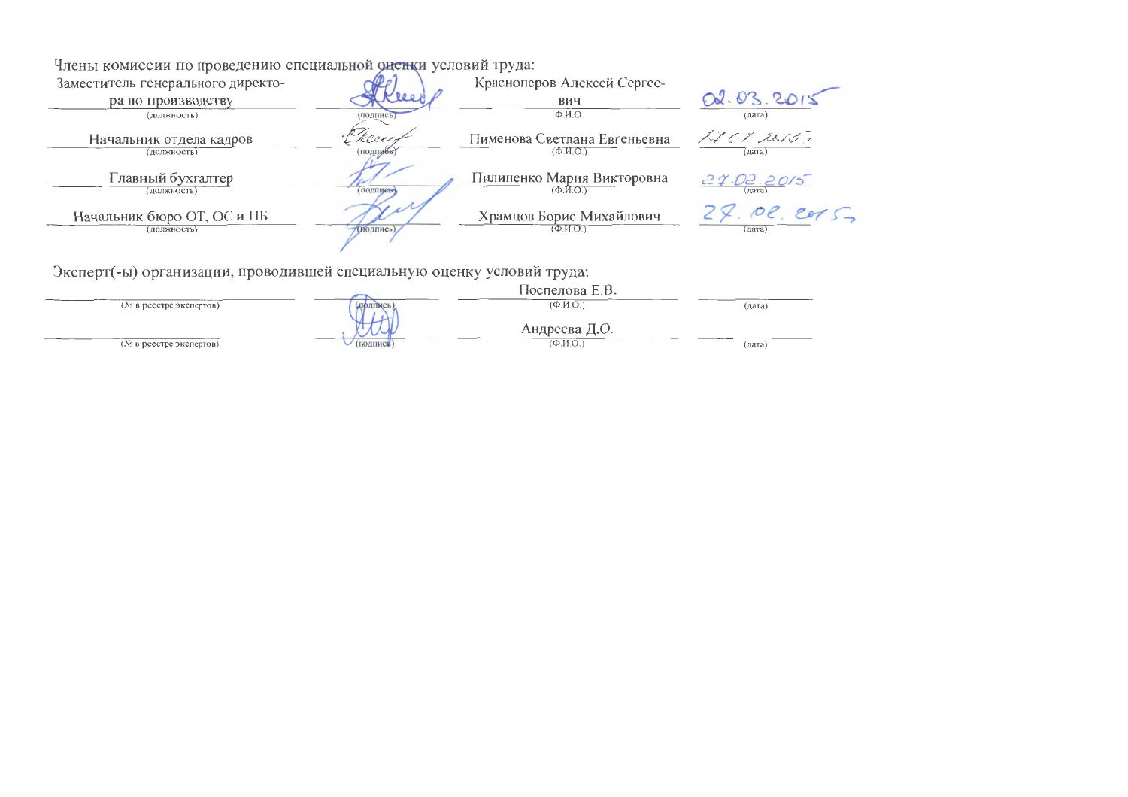Члены комиссии по проведению специальной оненки условий труда:

| Заместитель генерального директо-<br>ра по производству<br>(должность) | (подпись) | Красноперов Алексей Сергее-<br>ВИЧ<br>$\Phi$ . <i>H.O.</i>       | 02.03.2015<br>(1, 1, 1, 1)                              |
|------------------------------------------------------------------------|-----------|------------------------------------------------------------------|---------------------------------------------------------|
| Начальник отдела кадров                                                | Eleec     | Пименова Светлана Евгеньевна                                     | 17 C 2 2615,                                            |
| (должность)                                                            | (подпибы) | $(\Phi \text{MO})$                                               | (дата)                                                  |
| Главный бухгалтер<br>(должность)                                       | (подпись) | Пилипенко Мария Викторовна<br>$(\Phi$ <sub>M</sub> O <sub></sub> | 27.02.2015                                              |
| Начальник бюро ОТ, ОС и ПБ                                             | (иодпись) | Храмцов Борис Михайлович                                         | Z.02.2015                                               |
| (должность)                                                            |           | (ФИО.)                                                           | $(\overline{n} \overline{a} \overline{r} \overline{a})$ |

Эксперт(-ы) организации, проводившей специальную оценку условий труда:

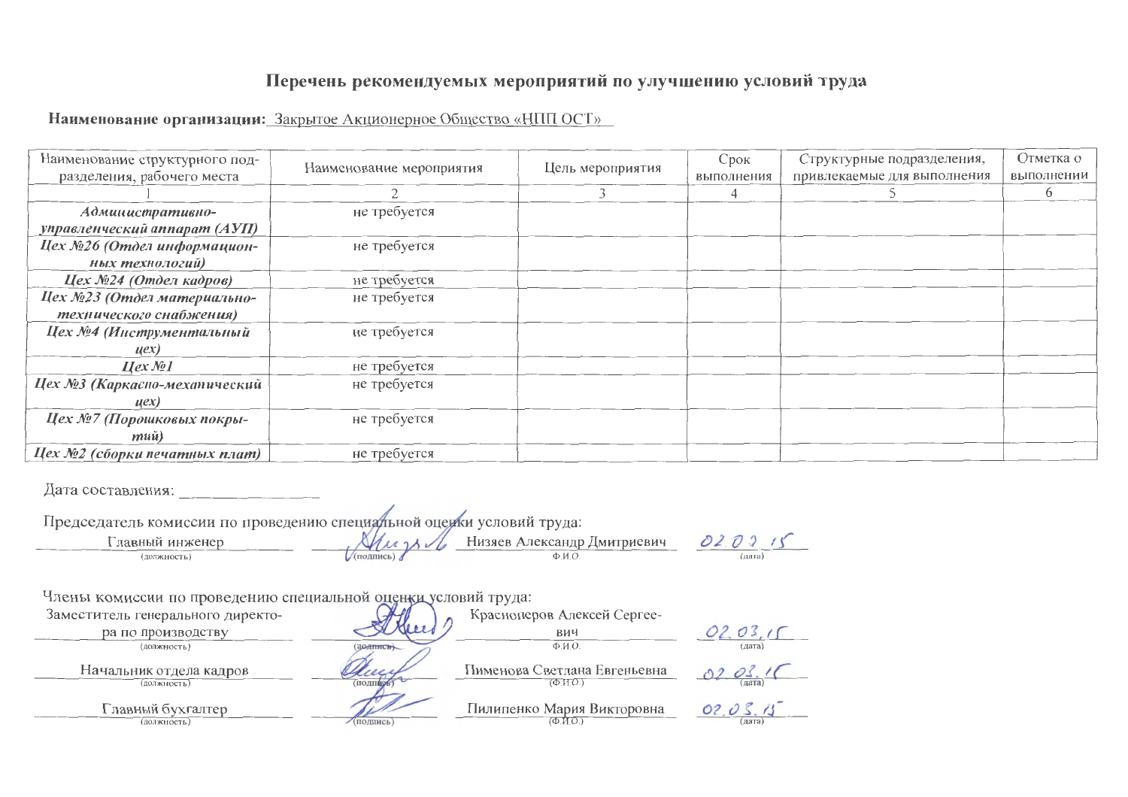## Перечень рекомендуемых мероприятий по улучшению условий труда

Наименование организации: Закрытое Акционерное Общество «НПП ОСТ»

| Наименование структурного под-<br>разделения, рабочего места | Наименование мероприятия | Цель мероприятия | Срок<br>выполнения | Структурные подразделения,<br>привлекаемые для выполнения | Отметка о<br>выполнении |
|--------------------------------------------------------------|--------------------------|------------------|--------------------|-----------------------------------------------------------|-------------------------|
|                                                              |                          |                  |                    |                                                           | 6                       |
| Административно-                                             | не требуется             |                  |                    |                                                           |                         |
| управленческий аппарат (АУП)                                 |                          |                  |                    |                                                           |                         |
| Цех №26 (Отдел информацион-                                  | не требуется             |                  |                    |                                                           |                         |
| ных технологий)                                              |                          |                  |                    |                                                           |                         |
| Цех №24 (Отдел кадров)                                       | не требуется             |                  |                    |                                                           |                         |
| Цех №23 (Отдел материально-                                  | не требуется             |                  |                    |                                                           |                         |
| технического снабжения)                                      |                          |                  |                    |                                                           |                         |
| Цех №4 (Инструментальный                                     | не требуется             |                  |                    |                                                           |                         |
| $\mu$ ex $)$                                                 |                          |                  |                    |                                                           |                         |
| $Hex$ No $I$                                                 | не требуется             |                  |                    |                                                           |                         |
| Цех №3 (Каркасно-механический                                | не требуется             |                  |                    |                                                           |                         |
| uex)                                                         |                          |                  |                    |                                                           |                         |
| Цех №7 (Порошковых покры-                                    | не требуется             |                  |                    |                                                           |                         |
| muü)                                                         |                          |                  |                    |                                                           |                         |
| Цех №2 (сборки печатных плат)                                | не требуется             |                  |                    |                                                           |                         |

Дата составления:

Председатель комиссии по проведению специальной оценки условий труда:<br>
Главный инженер<br>
(должность) (подпись) / (подпись) / Низяев Александр Дмитриевич 02.03/5

Члены комиссии по проведению специальной оценки условий труда:

| Заместитель генерального директо-      |                | Красноперов Алексей Сергее-                               |        |
|----------------------------------------|----------------|-----------------------------------------------------------|--------|
| ра по производству                     |                | вич                                                       |        |
| (должность)                            | <b>ТОЛПИСЬ</b> | $\Phi$ . $HO$ .                                           | (naxa) |
| Начальник отдела кадров<br>(должность) | подпи          | Пименова Светлана Евгеньевна<br>$(\Phi$ <sub>11.O</sub> ) | дата   |
| Главный бухгалтер<br>(должность)       | ПОЛПИСЬ        | Пилипенко Мария Викторовна                                | [лата] |